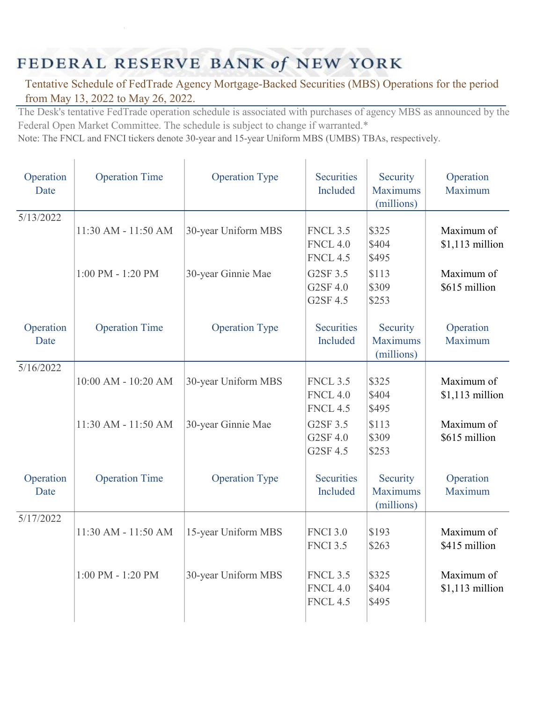## FEDERAL RESERVE BANK of NEW YORK

## Tentative Schedule of FedTrade Agency Mortgage-Backed Securities (MBS) Operations for the period from May 13, 2022 to May 26, 2022.

The Desk's tentative FedTrade operation schedule is associated with purchases of agency MBS as announced by the Federal Open Market Committee. The schedule is subject to change if warranted.\*

Note: The FNCL and FNCI tickers denote 30-year and 15-year Uniform MBS (UMBS) TBAs, respectively.

| Operation<br>Date | <b>Operation Time</b> | <b>Operation Type</b> | Securities<br>Included                                | Security<br><b>Maximums</b><br>(millions) | Operation<br>Maximum           |
|-------------------|-----------------------|-----------------------|-------------------------------------------------------|-------------------------------------------|--------------------------------|
| 5/13/2022         | 11:30 AM - 11:50 AM   | 30-year Uniform MBS   | <b>FNCL 3.5</b><br><b>FNCL 4.0</b><br><b>FNCL 4.5</b> | \$325<br>\$404<br>\$495                   | Maximum of<br>$$1,113$ million |
|                   | $1:00$ PM - $1:20$ PM | 30-year Ginnie Mae    | G2SF 3.5<br>G2SF 4.0<br>G2SF 4.5                      | \$113<br>\$309<br>\$253                   | Maximum of<br>\$615 million    |
| Operation<br>Date | <b>Operation Time</b> | <b>Operation Type</b> | <b>Securities</b><br>Included                         | Security<br><b>Maximums</b><br>(millions) | Operation<br>Maximum           |
| 5/16/2022         | 10:00 AM - 10:20 AM   | 30-year Uniform MBS   | <b>FNCL 3.5</b><br><b>FNCL 4.0</b><br><b>FNCL 4.5</b> | \$325<br>\$404<br>\$495                   | Maximum of<br>$$1,113$ million |
|                   | 11:30 AM - 11:50 AM   | 30-year Ginnie Mae    | G2SF 3.5<br>G2SF 4.0<br>G2SF 4.5                      | \$113<br>\$309<br>\$253                   | Maximum of<br>\$615 million    |
| Operation<br>Date | <b>Operation Time</b> | <b>Operation Type</b> | <b>Securities</b><br>Included                         | Security<br><b>Maximums</b><br>(millions) | Operation<br>Maximum           |
| 5/17/2022         | 11:30 AM - 11:50 AM   | 15-year Uniform MBS   | <b>FNCI 3.0</b><br><b>FNCI 3.5</b>                    | \$193<br>\$263                            | Maximum of<br>\$415 million    |
|                   | $1:00$ PM - $1:20$ PM | 30-year Uniform MBS   | <b>FNCL 3.5</b><br><b>FNCL 4.0</b><br><b>FNCL 4.5</b> | \$325<br>\$404<br>\$495                   | Maximum of<br>$$1,113$ million |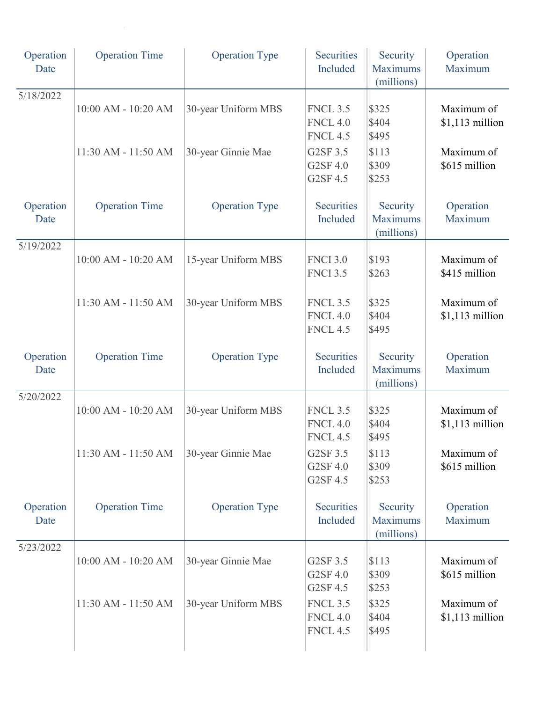| Operation<br>Date | <b>Operation Time</b> | <b>Operation Type</b> | <b>Securities</b><br>Included                         | Security<br><b>Maximums</b><br>(millions) | Operation<br>Maximum           |
|-------------------|-----------------------|-----------------------|-------------------------------------------------------|-------------------------------------------|--------------------------------|
| 5/18/2022         | 10:00 AM - 10:20 AM   | 30-year Uniform MBS   | <b>FNCL 3.5</b><br><b>FNCL 4.0</b><br><b>FNCL 4.5</b> | \$325<br>\$404<br>\$495                   | Maximum of<br>$$1,113$ million |
|                   | 11:30 AM - 11:50 AM   | 30-year Ginnie Mae    | G2SF 3.5<br>G2SF 4.0<br>G2SF 4.5                      | \$113<br>\$309<br>\$253                   | Maximum of<br>\$615 million    |
| Operation<br>Date | <b>Operation Time</b> | <b>Operation Type</b> | <b>Securities</b><br>Included                         | Security<br><b>Maximums</b><br>(millions) | Operation<br>Maximum           |
| 5/19/2022         | 10:00 AM - 10:20 AM   | 15-year Uniform MBS   | <b>FNCI 3.0</b><br><b>FNCI 3.5</b>                    | \$193<br>\$263                            | Maximum of<br>\$415 million    |
|                   | 11:30 AM - 11:50 AM   | 30-year Uniform MBS   | <b>FNCL 3.5</b><br><b>FNCL 4.0</b><br><b>FNCL 4.5</b> | \$325<br>\$404<br>\$495                   | Maximum of<br>$$1,113$ million |
| Operation<br>Date | <b>Operation Time</b> | <b>Operation Type</b> | <b>Securities</b><br>Included                         | Security<br><b>Maximums</b><br>(millions) | Operation<br>Maximum           |
| 5/20/2022         | 10:00 AM - 10:20 AM   | 30-year Uniform MBS   | <b>FNCL 3.5</b><br><b>FNCL 4.0</b><br><b>FNCL 4.5</b> | \$325<br>\$404<br>\$495                   | Maximum of<br>$$1,113$ million |
|                   | 11:30 AM - 11:50 AM   | 30-year Ginnie Mae    | G2SF 3.5<br>G2SF 4.0<br>G2SF 4.5                      | \$113<br>\$309<br>\$253                   | Maximum of<br>\$615 million    |
| Operation<br>Date | <b>Operation Time</b> | <b>Operation Type</b> | <b>Securities</b><br>Included                         | Security<br><b>Maximums</b><br>(millions) | Operation<br>Maximum           |
| 5/23/2022         | 10:00 AM - 10:20 AM   | 30-year Ginnie Mae    | G2SF 3.5<br>G2SF 4.0<br>G2SF 4.5                      | \$113<br>\$309<br>\$253                   | Maximum of<br>\$615 million    |
|                   | 11:30 AM - 11:50 AM   | 30-year Uniform MBS   | <b>FNCL 3.5</b><br><b>FNCL 4.0</b><br><b>FNCL 4.5</b> | \$325<br>\$404<br>\$495                   | Maximum of<br>$$1,113$ million |